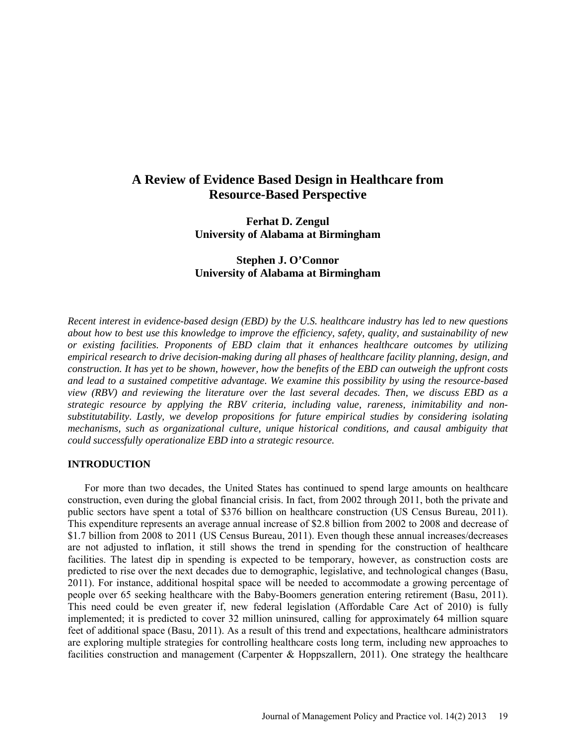# **A Review of Evidence Based Design in Healthcare from Resource-Based Perspective**

**Ferhat D. Zengul University of Alabama at Birmingham** 

## **Stephen J. O'Connor University of Alabama at Birmingham**

*Recent interest in evidence-based design (EBD) by the U.S. healthcare industry has led to new questions about how to best use this knowledge to improve the efficiency, safety, quality, and sustainability of new or existing facilities. Proponents of EBD claim that it enhances healthcare outcomes by utilizing empirical research to drive decision-making during all phases of healthcare facility planning, design, and construction. It has yet to be shown, however, how the benefits of the EBD can outweigh the upfront costs and lead to a sustained competitive advantage. We examine this possibility by using the resource-based view (RBV) and reviewing the literature over the last several decades. Then, we discuss EBD as a strategic resource by applying the RBV criteria, including value, rareness, inimitability and nonsubstitutability. Lastly, we develop propositions for future empirical studies by considering isolating mechanisms, such as organizational culture, unique historical conditions, and causal ambiguity that could successfully operationalize EBD into a strategic resource.* 

## **INTRODUCTION**

For more than two decades, the United States has continued to spend large amounts on healthcare construction, even during the global financial crisis. In fact, from 2002 through 2011, both the private and public sectors have spent a total of \$376 billion on healthcare construction (US Census Bureau, 2011). This expenditure represents an average annual increase of \$2.8 billion from 2002 to 2008 and decrease of \$1.7 billion from 2008 to 2011 (US Census Bureau, 2011). Even though these annual increases/decreases are not adjusted to inflation, it still shows the trend in spending for the construction of healthcare facilities. The latest dip in spending is expected to be temporary, however, as construction costs are predicted to rise over the next decades due to demographic, legislative, and technological changes (Basu, 2011). For instance, additional hospital space will be needed to accommodate a growing percentage of people over 65 seeking healthcare with the Baby-Boomers generation entering retirement (Basu, 2011). This need could be even greater if, new federal legislation (Affordable Care Act of 2010) is fully implemented; it is predicted to cover 32 million uninsured, calling for approximately 64 million square feet of additional space (Basu, 2011). As a result of this trend and expectations, healthcare administrators are exploring multiple strategies for controlling healthcare costs long term, including new approaches to facilities construction and management (Carpenter  $\&$  Hoppszallern, 2011). One strategy the healthcare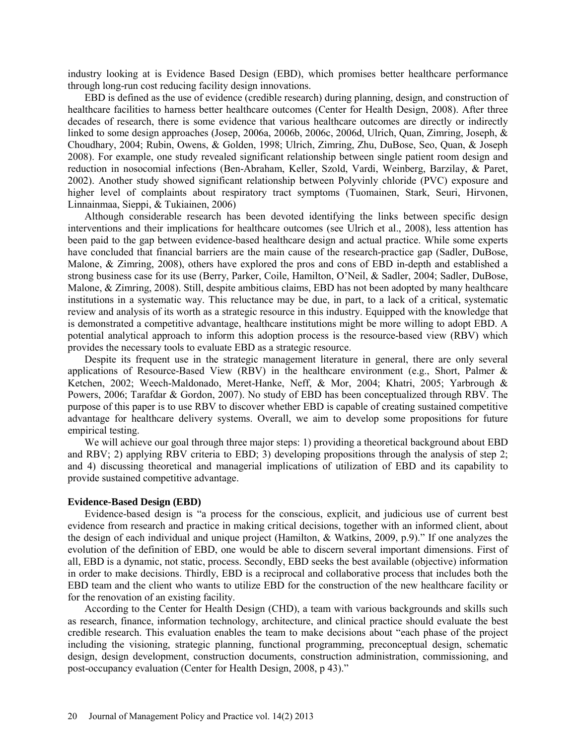industry looking at is Evidence Based Design (EBD), which promises better healthcare performance through long-run cost reducing facility design innovations.

EBD is defined as the use of evidence (credible research) during planning, design, and construction of healthcare facilities to harness better healthcare outcomes (Center for Health Design, 2008). After three decades of research, there is some evidence that various healthcare outcomes are directly or indirectly linked to some design approaches (Josep, 2006a, 2006b, 2006c, 2006d, Ulrich, Quan, Zimring, Joseph, & Choudhary, 2004; Rubin, Owens, & Golden, 1998; Ulrich, Zimring, Zhu, DuBose, Seo, Quan, & Joseph 2008). For example, one study revealed significant relationship between single patient room design and reduction in nosocomial infections (Ben-Abraham, Keller, Szold, Vardi, Weinberg, Barzilay, & Paret, 2002). Another study showed significant relationship between Polyvinly chloride (PVC) exposure and higher level of complaints about respiratory tract symptoms (Tuomainen, Stark, Seuri, Hirvonen, Linnainmaa, Sieppi, & Tukiainen, 2006)

Although considerable research has been devoted identifying the links between specific design interventions and their implications for healthcare outcomes (see Ulrich et al., 2008), less attention has been paid to the gap between evidence-based healthcare design and actual practice. While some experts have concluded that financial barriers are the main cause of the research-practice gap (Sadler, DuBose, Malone, & Zimring, 2008), others have explored the pros and cons of EBD in-depth and established a strong business case for its use (Berry, Parker, Coile, Hamilton, O'Neil, & Sadler, 2004; Sadler, DuBose, Malone, & Zimring, 2008). Still, despite ambitious claims, EBD has not been adopted by many healthcare institutions in a systematic way. This reluctance may be due, in part, to a lack of a critical, systematic review and analysis of its worth as a strategic resource in this industry. Equipped with the knowledge that is demonstrated a competitive advantage, healthcare institutions might be more willing to adopt EBD. A potential analytical approach to inform this adoption process is the resource-based view (RBV) which provides the necessary tools to evaluate EBD as a strategic resource.

Despite its frequent use in the strategic management literature in general, there are only several applications of Resource-Based View (RBV) in the healthcare environment (e.g., Short, Palmer  $\&$ Ketchen, 2002; Weech-Maldonado, Meret-Hanke, Neff, & Mor, 2004; Khatri, 2005; Yarbrough & Powers, 2006; Tarafdar & Gordon, 2007). No study of EBD has been conceptualized through RBV. The purpose of this paper is to use RBV to discover whether EBD is capable of creating sustained competitive advantage for healthcare delivery systems. Overall, we aim to develop some propositions for future empirical testing.

We will achieve our goal through three major steps: 1) providing a theoretical background about EBD and RBV; 2) applying RBV criteria to EBD; 3) developing propositions through the analysis of step 2; and 4) discussing theoretical and managerial implications of utilization of EBD and its capability to provide sustained competitive advantage.

## **Evidence-Based Design (EBD)**

Evidence-based design is "a process for the conscious, explicit, and judicious use of current best evidence from research and practice in making critical decisions, together with an informed client, about the design of each individual and unique project (Hamilton, & Watkins, 2009, p.9)." If one analyzes the evolution of the definition of EBD, one would be able to discern several important dimensions. First of all, EBD is a dynamic, not static, process. Secondly, EBD seeks the best available (objective) information in order to make decisions. Thirdly, EBD is a reciprocal and collaborative process that includes both the EBD team and the client who wants to utilize EBD for the construction of the new healthcare facility or for the renovation of an existing facility.

According to the Center for Health Design (CHD), a team with various backgrounds and skills such as research, finance, information technology, architecture, and clinical practice should evaluate the best credible research. This evaluation enables the team to make decisions about "each phase of the project including the visioning, strategic planning, functional programming, preconceptual design, schematic design, design development, construction documents, construction administration, commissioning, and post-occupancy evaluation (Center for Health Design, 2008, p 43)."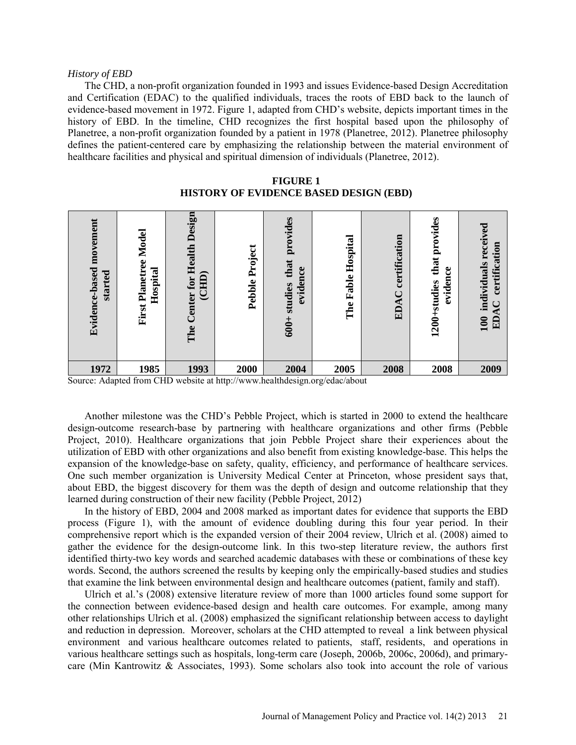#### *History of EBD*

The CHD, a non-profit organization founded in 1993 and issues Evidence-based Design Accreditation and Certification (EDAC) to the qualified individuals, traces the roots of EBD back to the launch of evidence-based movement in 1972. Figure 1, adapted from CHD's website, depicts important times in the history of EBD. In the timeline, CHD recognizes the first hospital based upon the philosophy of Planetree, a non-profit organization founded by a patient in 1978 (Planetree, 2012). Planetree philosophy defines the patient-centered care by emphasizing the relationship between the material environment of healthcare facilities and physical and spiritual dimension of individuals (Planetree, 2012).

| Evidence-based movement<br>started | Model<br>Planetree<br>Hospital<br>First | Design<br>Health<br>(CHD)<br>for<br><b>lenter</b><br>The | Project<br>Pebble | provides<br>that<br>evidence<br>studies<br>$600+$ | Hospital<br>Fable<br>The | certification<br>₹<br>ED <sub>.</sub> | provides<br>that<br>evidence<br>1200+studies | received<br>certification<br>individuals<br>₹.<br>100<br>$\Xi$ |
|------------------------------------|-----------------------------------------|----------------------------------------------------------|-------------------|---------------------------------------------------|--------------------------|---------------------------------------|----------------------------------------------|----------------------------------------------------------------|
| 1972                               | 1985                                    | 1993                                                     | 2000              | 2004                                              | 2005                     | 2008                                  | 2008                                         | 2009                                                           |

**FIGURE 1 HISTORY OF EVIDENCE BASED DESIGN (EBD)**

Source: Adapted from CHD website a[t http://www.healthdesign.org/edac/about](http://www.healthdesign.org/edac/about)

Another milestone was the CHD's Pebble Project, which is started in 2000 to extend the healthcare design-outcome research-base by partnering with healthcare organizations and other firms (Pebble Project, 2010). Healthcare organizations that join Pebble Project share their experiences about the utilization of EBD with other organizations and also benefit from existing knowledge-base. This helps the expansion of the knowledge-base on safety, quality, efficiency, and performance of healthcare services. One such member organization is University Medical Center at Princeton, whose president says that, about EBD, the biggest discovery for them was the depth of design and outcome relationship that they learned during construction of their new facility (Pebble Project, 2012)

In the history of EBD, 2004 and 2008 marked as important dates for evidence that supports the EBD process (Figure 1), with the amount of evidence doubling during this four year period. In their comprehensive report which is the expanded version of their 2004 review, Ulrich et al. (2008) aimed to gather the evidence for the design-outcome link. In this two-step literature review, the authors first identified thirty-two key words and searched academic databases with these or combinations of these key words. Second, the authors screened the results by keeping only the empirically-based studies and studies that examine the link between environmental design and healthcare outcomes (patient, family and staff).

Ulrich et al.'s (2008) extensive literature review of more than 1000 articles found some support for the connection between evidence-based design and health care outcomes. For example, among many other relationships Ulrich et al. (2008) emphasized the significant relationship between access to daylight and reduction in depression. Moreover, scholars at the CHD attempted to reveal a link between physical environment and various healthcare outcomes related to patients, staff, residents, and operations in various healthcare settings such as hospitals, long-term care (Joseph, 2006b, 2006c, 2006d), and primarycare (Min Kantrowitz & Associates, 1993). Some scholars also took into account the role of various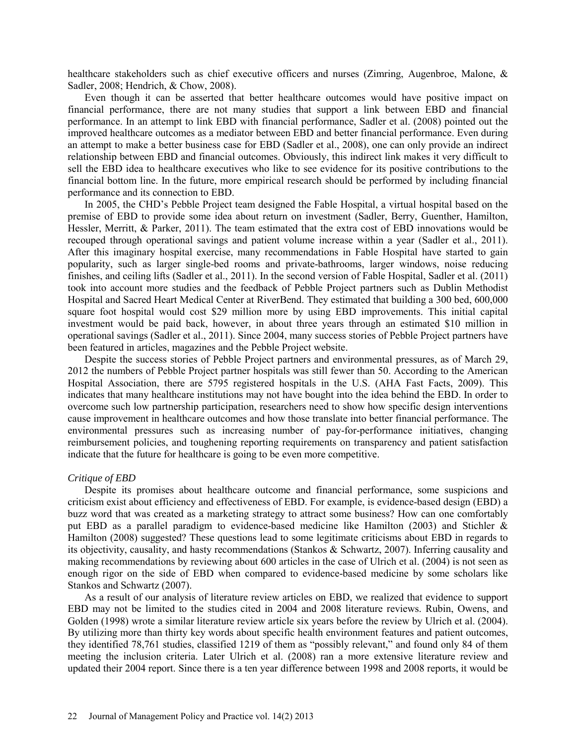healthcare stakeholders such as chief executive officers and nurses (Zimring, Augenbroe, Malone, & Sadler, 2008; Hendrich, & Chow, 2008).

Even though it can be asserted that better healthcare outcomes would have positive impact on financial performance, there are not many studies that support a link between EBD and financial performance. In an attempt to link EBD with financial performance, Sadler et al. (2008) pointed out the improved healthcare outcomes as a mediator between EBD and better financial performance. Even during an attempt to make a better business case for EBD (Sadler et al., 2008), one can only provide an indirect relationship between EBD and financial outcomes. Obviously, this indirect link makes it very difficult to sell the EBD idea to healthcare executives who like to see evidence for its positive contributions to the financial bottom line. In the future, more empirical research should be performed by including financial performance and its connection to EBD.

In 2005, the CHD's Pebble Project team designed the Fable Hospital, a virtual hospital based on the premise of EBD to provide some idea about return on investment (Sadler, Berry, Guenther, Hamilton, Hessler, Merritt, & Parker, 2011). The team estimated that the extra cost of EBD innovations would be recouped through operational savings and patient volume increase within a year (Sadler et al., 2011). After this imaginary hospital exercise, many recommendations in Fable Hospital have started to gain popularity, such as larger single-bed rooms and private-bathrooms, larger windows, noise reducing finishes, and ceiling lifts (Sadler et al., 2011). In the second version of Fable Hospital, Sadler et al. (2011) took into account more studies and the feedback of Pebble Project partners such as Dublin Methodist Hospital and Sacred Heart Medical Center at RiverBend. They estimated that building a 300 bed, 600,000 square foot hospital would cost \$29 million more by using EBD improvements. This initial capital investment would be paid back, however, in about three years through an estimated \$10 million in operational savings (Sadler et al., 2011). Since 2004, many success stories of Pebble Project partners have been featured in articles, magazines and the Pebble Project website.

Despite the success stories of Pebble Project partners and environmental pressures, as of March 29, 2012 the numbers of Pebble Project partner hospitals was still fewer than 50. According to the American Hospital Association, there are 5795 registered hospitals in the U.S. (AHA Fast Facts, 2009). This indicates that many healthcare institutions may not have bought into the idea behind the EBD. In order to overcome such low partnership participation, researchers need to show how specific design interventions cause improvement in healthcare outcomes and how those translate into better financial performance. The environmental pressures such as increasing number of pay-for-performance initiatives, changing reimbursement policies, and toughening reporting requirements on transparency and patient satisfaction indicate that the future for healthcare is going to be even more competitive.

#### *Critique of EBD*

Despite its promises about healthcare outcome and financial performance, some suspicions and criticism exist about efficiency and effectiveness of EBD. For example, is evidence-based design (EBD) a buzz word that was created as a marketing strategy to attract some business? How can one comfortably put EBD as a parallel paradigm to evidence-based medicine like Hamilton (2003) and Stichler & Hamilton (2008) suggested? These questions lead to some legitimate criticisms about EBD in regards to its objectivity, causality, and hasty recommendations (Stankos & Schwartz, 2007). Inferring causality and making recommendations by reviewing about 600 articles in the case of Ulrich et al. (2004) is not seen as enough rigor on the side of EBD when compared to evidence-based medicine by some scholars like Stankos and Schwartz (2007).

As a result of our analysis of literature review articles on EBD, we realized that evidence to support EBD may not be limited to the studies cited in 2004 and 2008 literature reviews. Rubin, Owens, and Golden (1998) wrote a similar literature review article six years before the review by Ulrich et al. (2004). By utilizing more than thirty key words about specific health environment features and patient outcomes, they identified 78,761 studies, classified 1219 of them as "possibly relevant," and found only 84 of them meeting the inclusion criteria. Later Ulrich et al. (2008) ran a more extensive literature review and updated their 2004 report. Since there is a ten year difference between 1998 and 2008 reports, it would be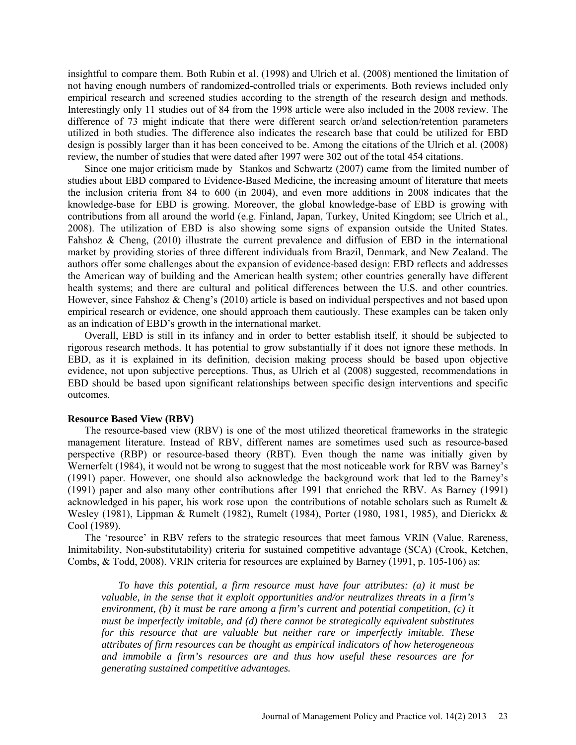insightful to compare them. Both Rubin et al. (1998) and Ulrich et al. (2008) mentioned the limitation of not having enough numbers of randomized-controlled trials or experiments. Both reviews included only empirical research and screened studies according to the strength of the research design and methods. Interestingly only 11 studies out of 84 from the 1998 article were also included in the 2008 review. The difference of 73 might indicate that there were different search or/and selection/retention parameters utilized in both studies. The difference also indicates the research base that could be utilized for EBD design is possibly larger than it has been conceived to be. Among the citations of the Ulrich et al. (2008) review, the number of studies that were dated after 1997 were 302 out of the total 454 citations.

Since one major criticism made by Stankos and Schwartz (2007) came from the limited number of studies about EBD compared to Evidence-Based Medicine, the increasing amount of literature that meets the inclusion criteria from 84 to 600 (in 2004), and even more additions in 2008 indicates that the knowledge-base for EBD is growing. Moreover, the global knowledge-base of EBD is growing with contributions from all around the world (e.g. Finland, Japan, Turkey, United Kingdom; see Ulrich et al., 2008). The utilization of EBD is also showing some signs of expansion outside the United States. Fahshoz & Cheng, (2010) illustrate the current prevalence and diffusion of EBD in the international market by providing stories of three different individuals from Brazil, Denmark, and New Zealand. The authors offer some challenges about the expansion of evidence-based design: EBD reflects and addresses the American way of building and the American health system; other countries generally have different health systems; and there are cultural and political differences between the U.S. and other countries. However, since Fahshoz & Cheng's (2010) article is based on individual perspectives and not based upon empirical research or evidence, one should approach them cautiously. These examples can be taken only as an indication of EBD's growth in the international market.

Overall, EBD is still in its infancy and in order to better establish itself, it should be subjected to rigorous research methods. It has potential to grow substantially if it does not ignore these methods. In EBD, as it is explained in its definition, decision making process should be based upon objective evidence, not upon subjective perceptions. Thus, as Ulrich et al (2008) suggested, recommendations in EBD should be based upon significant relationships between specific design interventions and specific outcomes.

## **Resource Based View (RBV)**

The resource-based view (RBV) is one of the most utilized theoretical frameworks in the strategic management literature. Instead of RBV, different names are sometimes used such as resource-based perspective (RBP) or resource-based theory (RBT). Even though the name was initially given by Wernerfelt (1984), it would not be wrong to suggest that the most noticeable work for RBV was Barney's (1991) paper. However, one should also acknowledge the background work that led to the Barney's (1991) paper and also many other contributions after 1991 that enriched the RBV. As Barney (1991) acknowledged in his paper, his work rose upon the contributions of notable scholars such as Rumelt & Wesley (1981), Lippman & Rumelt (1982), Rumelt (1984), Porter (1980, 1981, 1985), and Dierickx & Cool (1989).

The 'resource' in RBV refers to the strategic resources that meet famous VRIN (Value, Rareness, Inimitability, Non-substitutability) criteria for sustained competitive advantage (SCA) (Crook, Ketchen, Combs, & Todd, 2008). VRIN criteria for resources are explained by Barney (1991, p. 105-106) as:

*To have this potential, a firm resource must have four attributes: (a) it must be valuable, in the sense that it exploit opportunities and/or neutralizes threats in a firm's environment, (b) it must be rare among a firm's current and potential competition, (c) it must be imperfectly imitable, and (d) there cannot be strategically equivalent substitutes for this resource that are valuable but neither rare or imperfectly imitable. These attributes of firm resources can be thought as empirical indicators of how heterogeneous and immobile a firm's resources are and thus how useful these resources are for generating sustained competitive advantages.*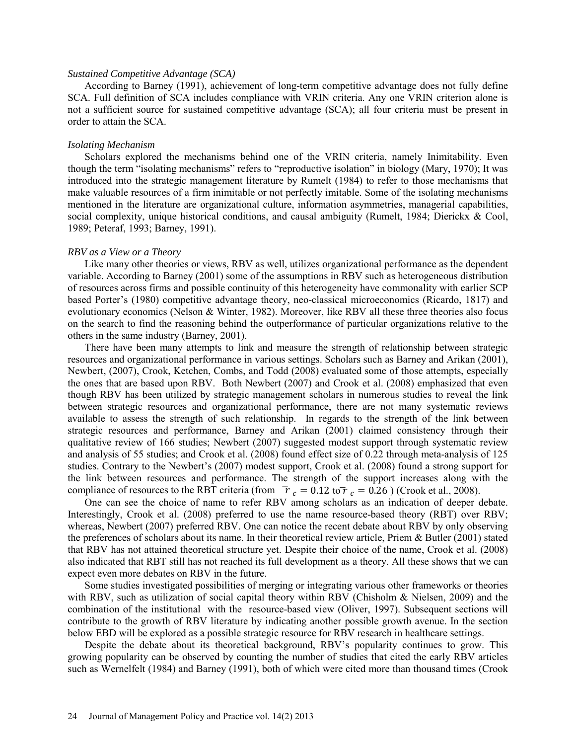#### *Sustained Competitive Advantage (SCA)*

According to Barney (1991), achievement of long-term competitive advantage does not fully define SCA. Full definition of SCA includes compliance with VRIN criteria. Any one VRIN criterion alone is not a sufficient source for sustained competitive advantage (SCA); all four criteria must be present in order to attain the SCA.

## *Isolating Mechanism*

Scholars explored the mechanisms behind one of the VRIN criteria, namely Inimitability. Even though the term "isolating mechanisms" refers to "reproductive isolation" in biology (Mary, 1970); It was introduced into the strategic management literature by Rumelt (1984) to refer to those mechanisms that make valuable resources of a firm inimitable or not perfectly imitable. Some of the isolating mechanisms mentioned in the literature are organizational culture, information asymmetries, managerial capabilities, social complexity, unique historical conditions, and causal ambiguity (Rumelt, 1984; Dierickx & Cool, 1989; Peteraf, 1993; Barney, 1991).

#### *RBV as a View or a Theory*

Like many other theories or views, RBV as well, utilizes organizational performance as the dependent variable. According to Barney (2001) some of the assumptions in RBV such as heterogeneous distribution of resources across firms and possible continuity of this heterogeneity have commonality with earlier SCP based Porter's (1980) competitive advantage theory, neo-classical microeconomics (Ricardo, 1817) and evolutionary economics (Nelson & Winter, 1982). Moreover, like RBV all these three theories also focus on the search to find the reasoning behind the outperformance of particular organizations relative to the others in the same industry (Barney, 2001).

There have been many attempts to link and measure the strength of relationship between strategic resources and organizational performance in various settings. Scholars such as Barney and Arikan (2001), Newbert, (2007), Crook, Ketchen, Combs, and Todd (2008) evaluated some of those attempts, especially the ones that are based upon RBV. Both Newbert (2007) and Crook et al. (2008) emphasized that even though RBV has been utilized by strategic management scholars in numerous studies to reveal the link between strategic resources and organizational performance, there are not many systematic reviews available to assess the strength of such relationship. In regards to the strength of the link between strategic resources and performance, Barney and Arikan (2001) claimed consistency through their qualitative review of 166 studies; Newbert (2007) suggested modest support through systematic review and analysis of 55 studies; and Crook et al. (2008) found effect size of 0.22 through meta-analysis of 125 studies. Contrary to the Newbert's (2007) modest support, Crook et al. (2008) found a strong support for the link between resources and performance. The strength of the support increases along with the compliance of resources to the RBT criteria (from  $\bar{\tau}_c = 0.12$  to  $\bar{\tau}_c = 0.26$ ) (Crook et al., 2008).

One can see the choice of name to refer RBV among scholars as an indication of deeper debate. Interestingly, Crook et al. (2008) preferred to use the name resource-based theory (RBT) over RBV; whereas, Newbert (2007) preferred RBV. One can notice the recent debate about RBV by only observing the preferences of scholars about its name. In their theoretical review article, Priem & Butler (2001) stated that RBV has not attained theoretical structure yet. Despite their choice of the name, Crook et al. (2008) also indicated that RBT still has not reached its full development as a theory. All these shows that we can expect even more debates on RBV in the future.

Some studies investigated possibilities of merging or integrating various other frameworks or theories with RBV, such as utilization of social capital theory within RBV (Chisholm & Nielsen, 2009) and the combination of the institutional with the resource-based view (Oliver, 1997). Subsequent sections will contribute to the growth of RBV literature by indicating another possible growth avenue. In the section below EBD will be explored as a possible strategic resource for RBV research in healthcare settings.

Despite the debate about its theoretical background, RBV's popularity continues to grow. This growing popularity can be observed by counting the number of studies that cited the early RBV articles such as Wernelfelt (1984) and Barney (1991), both of which were cited more than thousand times (Crook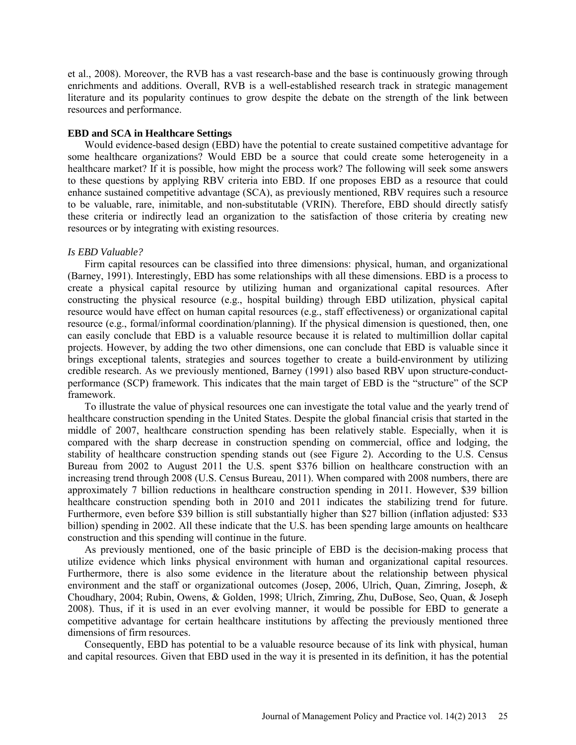et al., 2008). Moreover, the RVB has a vast research-base and the base is continuously growing through enrichments and additions. Overall, RVB is a well-established research track in strategic management literature and its popularity continues to grow despite the debate on the strength of the link between resources and performance.

#### **EBD and SCA in Healthcare Settings**

Would evidence-based design (EBD) have the potential to create sustained competitive advantage for some healthcare organizations? Would EBD be a source that could create some heterogeneity in a healthcare market? If it is possible, how might the process work? The following will seek some answers to these questions by applying RBV criteria into EBD. If one proposes EBD as a resource that could enhance sustained competitive advantage (SCA), as previously mentioned, RBV requires such a resource to be valuable, rare, inimitable, and non-substitutable (VRIN). Therefore, EBD should directly satisfy these criteria or indirectly lead an organization to the satisfaction of those criteria by creating new resources or by integrating with existing resources.

#### *Is EBD Valuable?*

Firm capital resources can be classified into three dimensions: physical, human, and organizational (Barney, 1991). Interestingly, EBD has some relationships with all these dimensions. EBD is a process to create a physical capital resource by utilizing human and organizational capital resources. After constructing the physical resource (e.g., hospital building) through EBD utilization, physical capital resource would have effect on human capital resources (e.g., staff effectiveness) or organizational capital resource (e.g., formal/informal coordination/planning). If the physical dimension is questioned, then, one can easily conclude that EBD is a valuable resource because it is related to multimillion dollar capital projects. However, by adding the two other dimensions, one can conclude that EBD is valuable since it brings exceptional talents, strategies and sources together to create a build-environment by utilizing credible research. As we previously mentioned, Barney (1991) also based RBV upon structure-conductperformance (SCP) framework. This indicates that the main target of EBD is the "structure" of the SCP framework.

To illustrate the value of physical resources one can investigate the total value and the yearly trend of healthcare construction spending in the United States. Despite the global financial crisis that started in the middle of 2007, healthcare construction spending has been relatively stable. Especially, when it is compared with the sharp decrease in construction spending on commercial, office and lodging, the stability of healthcare construction spending stands out (see Figure 2). According to the U.S. Census Bureau from 2002 to August 2011 the U.S. spent \$376 billion on healthcare construction with an increasing trend through 2008 (U.S. Census Bureau, 2011). When compared with 2008 numbers, there are approximately 7 billion reductions in healthcare construction spending in 2011. However, \$39 billion healthcare construction spending both in 2010 and 2011 indicates the stabilizing trend for future. Furthermore, even before \$39 billion is still substantially higher than \$27 billion (inflation adjusted: \$33 billion) spending in 2002. All these indicate that the U.S. has been spending large amounts on healthcare construction and this spending will continue in the future.

As previously mentioned, one of the basic principle of EBD is the decision-making process that utilize evidence which links physical environment with human and organizational capital resources. Furthermore, there is also some evidence in the literature about the relationship between physical environment and the staff or organizational outcomes (Josep, 2006, Ulrich, Quan, Zimring, Joseph, & Choudhary, 2004; Rubin, Owens, & Golden, 1998; Ulrich, Zimring, Zhu, DuBose, Seo, Quan, & Joseph 2008). Thus, if it is used in an ever evolving manner, it would be possible for EBD to generate a competitive advantage for certain healthcare institutions by affecting the previously mentioned three dimensions of firm resources.

Consequently, EBD has potential to be a valuable resource because of its link with physical, human and capital resources. Given that EBD used in the way it is presented in its definition, it has the potential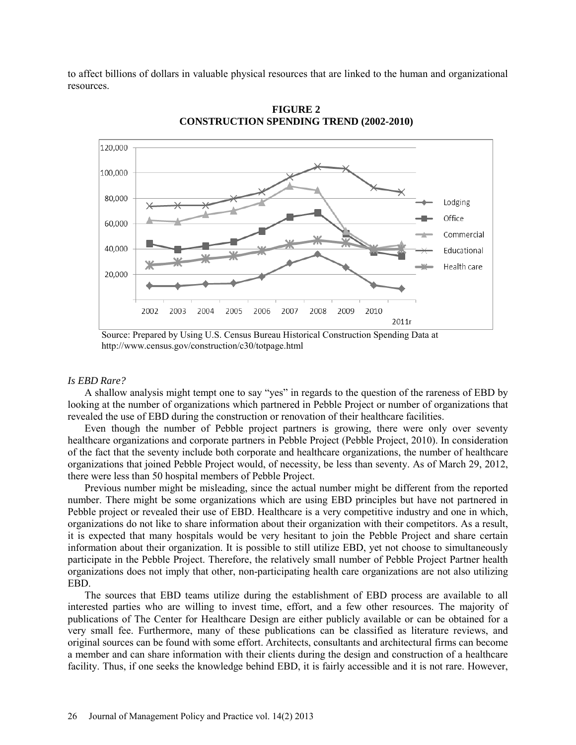to affect billions of dollars in valuable physical resources that are linked to the human and organizational resources.



**FIGURE 2 CONSTRUCTION SPENDING TREND (2002-2010)** 

#### *Is EBD Rare?*

A shallow analysis might tempt one to say "yes" in regards to the question of the rareness of EBD by looking at the number of organizations which partnered in Pebble Project or number of organizations that revealed the use of EBD during the construction or renovation of their healthcare facilities.

Even though the number of Pebble project partners is growing, there were only over seventy healthcare organizations and corporate partners in Pebble Project (Pebble Project, 2010). In consideration of the fact that the seventy include both corporate and healthcare organizations, the number of healthcare organizations that joined Pebble Project would, of necessity, be less than seventy. As of March 29, 2012, there were less than 50 hospital members of Pebble Project.

Previous number might be misleading, since the actual number might be different from the reported number. There might be some organizations which are using EBD principles but have not partnered in Pebble project or revealed their use of EBD. Healthcare is a very competitive industry and one in which, organizations do not like to share information about their organization with their competitors. As a result, it is expected that many hospitals would be very hesitant to join the Pebble Project and share certain information about their organization. It is possible to still utilize EBD, yet not choose to simultaneously participate in the Pebble Project. Therefore, the relatively small number of Pebble Project Partner health organizations does not imply that other, non-participating health care organizations are not also utilizing EBD.

The sources that EBD teams utilize during the establishment of EBD process are available to all interested parties who are willing to invest time, effort, and a few other resources. The majority of publications of The Center for Healthcare Design are either publicly available or can be obtained for a very small fee. Furthermore, many of these publications can be classified as literature reviews, and original sources can be found with some effort. Architects, consultants and architectural firms can become a member and can share information with their clients during the design and construction of a healthcare facility. Thus, if one seeks the knowledge behind EBD, it is fairly accessible and it is not rare. However,

Source: Prepared by Using U.S. Census Bureau Historical Construction Spending Data at <http://www.census.gov/construction/c30/totpage.html>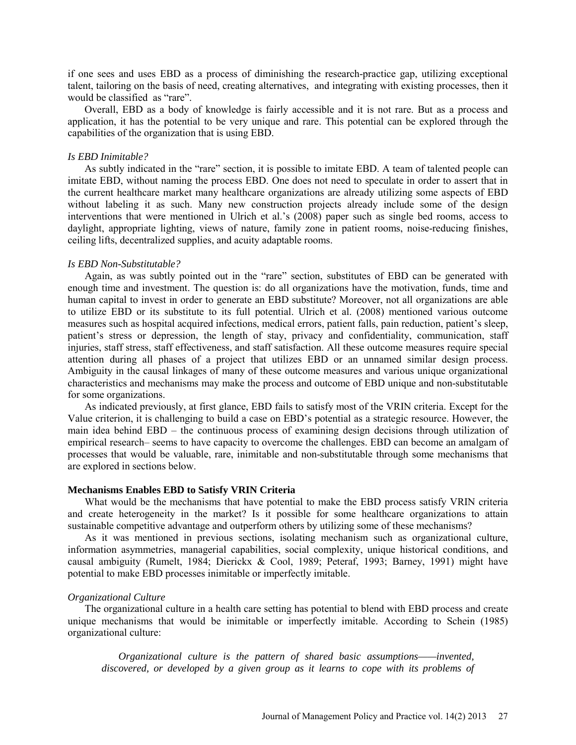if one sees and uses EBD as a process of diminishing the research-practice gap, utilizing exceptional talent, tailoring on the basis of need, creating alternatives, and integrating with existing processes, then it would be classified as "rare".

Overall, EBD as a body of knowledge is fairly accessible and it is not rare. But as a process and application, it has the potential to be very unique and rare. This potential can be explored through the capabilities of the organization that is using EBD.

#### *Is EBD Inimitable?*

As subtly indicated in the "rare" section, it is possible to imitate EBD. A team of talented people can imitate EBD, without naming the process EBD. One does not need to speculate in order to assert that in the current healthcare market many healthcare organizations are already utilizing some aspects of EBD without labeling it as such. Many new construction projects already include some of the design interventions that were mentioned in Ulrich et al.'s (2008) paper such as single bed rooms, access to daylight, appropriate lighting, views of nature, family zone in patient rooms, noise-reducing finishes, ceiling lifts, decentralized supplies, and acuity adaptable rooms.

## *Is EBD Non-Substitutable?*

Again, as was subtly pointed out in the "rare" section, substitutes of EBD can be generated with enough time and investment. The question is: do all organizations have the motivation, funds, time and human capital to invest in order to generate an EBD substitute? Moreover, not all organizations are able to utilize EBD or its substitute to its full potential. Ulrich et al. (2008) mentioned various outcome measures such as hospital acquired infections, medical errors, patient falls, pain reduction, patient's sleep, patient's stress or depression, the length of stay, privacy and confidentiality, communication, staff injuries, staff stress, staff effectiveness, and staff satisfaction. All these outcome measures require special attention during all phases of a project that utilizes EBD or an unnamed similar design process. Ambiguity in the causal linkages of many of these outcome measures and various unique organizational characteristics and mechanisms may make the process and outcome of EBD unique and non-substitutable for some organizations.

As indicated previously, at first glance, EBD fails to satisfy most of the VRIN criteria. Except for the Value criterion, it is challenging to build a case on EBD's potential as a strategic resource. However, the main idea behind EBD – the continuous process of examining design decisions through utilization of empirical research– seems to have capacity to overcome the challenges. EBD can become an amalgam of processes that would be valuable, rare, inimitable and non-substitutable through some mechanisms that are explored in sections below.

#### **Mechanisms Enables EBD to Satisfy VRIN Criteria**

What would be the mechanisms that have potential to make the EBD process satisfy VRIN criteria and create heterogeneity in the market? Is it possible for some healthcare organizations to attain sustainable competitive advantage and outperform others by utilizing some of these mechanisms?

As it was mentioned in previous sections, isolating mechanism such as organizational culture, information asymmetries, managerial capabilities, social complexity, unique historical conditions, and causal ambiguity (Rumelt, 1984; Dierickx & Cool, 1989; Peteraf, 1993; Barney, 1991) might have potential to make EBD processes inimitable or imperfectly imitable.

#### *Organizational Culture*

The organizational culture in a health care setting has potential to blend with EBD process and create unique mechanisms that would be inimitable or imperfectly imitable. According to Schein (1985) organizational culture:

*Organizational culture is the pattern of shared basic assumptions——invented, discovered, or developed by a given group as it learns to cope with its problems of*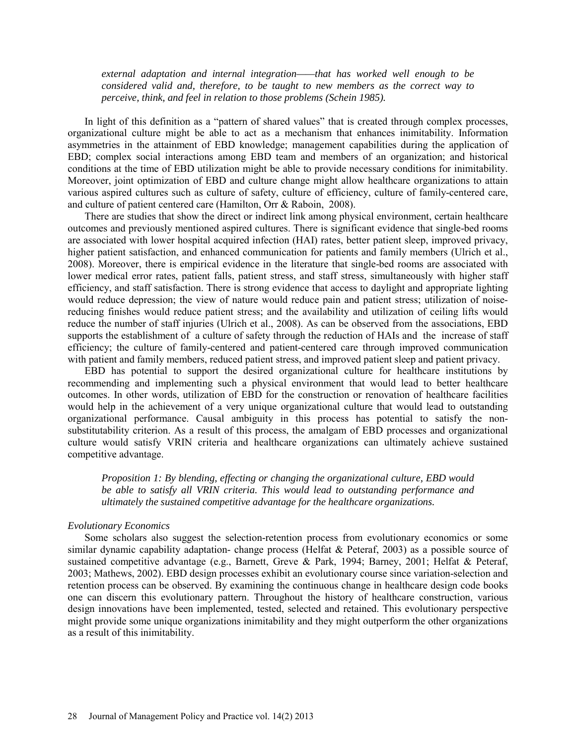*external adaptation and internal integration——that has worked well enough to be considered valid and, therefore, to be taught to new members as the correct way to perceive, think, and feel in relation to those problems (Schein 1985).* 

In light of this definition as a "pattern of shared values" that is created through complex processes, organizational culture might be able to act as a mechanism that enhances inimitability. Information asymmetries in the attainment of EBD knowledge; management capabilities during the application of EBD; complex social interactions among EBD team and members of an organization; and historical conditions at the time of EBD utilization might be able to provide necessary conditions for inimitability. Moreover, joint optimization of EBD and culture change might allow healthcare organizations to attain various aspired cultures such as culture of safety, culture of efficiency, culture of family-centered care, and culture of patient centered care (Hamilton, Orr & Raboin, 2008).

There are studies that show the direct or indirect link among physical environment, certain healthcare outcomes and previously mentioned aspired cultures. There is significant evidence that single-bed rooms are associated with lower hospital acquired infection (HAI) rates, better patient sleep, improved privacy, higher patient satisfaction, and enhanced communication for patients and family members (Ulrich et al., 2008). Moreover, there is empirical evidence in the literature that single-bed rooms are associated with lower medical error rates, patient falls, patient stress, and staff stress, simultaneously with higher staff efficiency, and staff satisfaction. There is strong evidence that access to daylight and appropriate lighting would reduce depression; the view of nature would reduce pain and patient stress; utilization of noisereducing finishes would reduce patient stress; and the availability and utilization of ceiling lifts would reduce the number of staff injuries (Ulrich et al., 2008). As can be observed from the associations, EBD supports the establishment of a culture of safety through the reduction of HAIs and the increase of staff efficiency; the culture of family-centered and patient-centered care through improved communication with patient and family members, reduced patient stress, and improved patient sleep and patient privacy.

EBD has potential to support the desired organizational culture for healthcare institutions by recommending and implementing such a physical environment that would lead to better healthcare outcomes. In other words, utilization of EBD for the construction or renovation of healthcare facilities would help in the achievement of a very unique organizational culture that would lead to outstanding organizational performance. Causal ambiguity in this process has potential to satisfy the nonsubstitutability criterion. As a result of this process, the amalgam of EBD processes and organizational culture would satisfy VRIN criteria and healthcare organizations can ultimately achieve sustained competitive advantage.

*Proposition 1: By blending, effecting or changing the organizational culture, EBD would be able to satisfy all VRIN criteria. This would lead to outstanding performance and ultimately the sustained competitive advantage for the healthcare organizations.* 

#### *Evolutionary Economics*

Some scholars also suggest the selection-retention process from evolutionary economics or some similar dynamic capability adaptation- change process (Helfat & Peteraf, 2003) as a possible source of sustained competitive advantage (e.g., Barnett, Greve & Park, 1994; Barney, 2001; Helfat & Peteraf, 2003; Mathews, 2002). EBD design processes exhibit an evolutionary course since variation-selection and retention process can be observed. By examining the continuous change in healthcare design code books one can discern this evolutionary pattern. Throughout the history of healthcare construction, various design innovations have been implemented, tested, selected and retained. This evolutionary perspective might provide some unique organizations inimitability and they might outperform the other organizations as a result of this inimitability.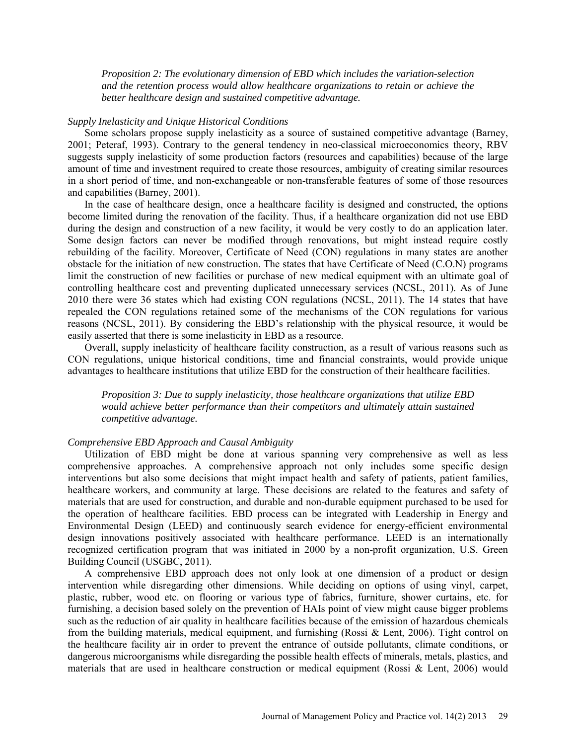*Proposition 2: The evolutionary dimension of EBD which includes the variation-selection and the retention process would allow healthcare organizations to retain or achieve the better healthcare design and sustained competitive advantage.* 

### *Supply Inelasticity and Unique Historical Conditions*

Some scholars propose supply inelasticity as a source of sustained competitive advantage (Barney, 2001; Peteraf, 1993). Contrary to the general tendency in neo-classical microeconomics theory, RBV suggests supply inelasticity of some production factors (resources and capabilities) because of the large amount of time and investment required to create those resources, ambiguity of creating similar resources in a short period of time, and non-exchangeable or non-transferable features of some of those resources and capabilities (Barney, 2001).

In the case of healthcare design, once a healthcare facility is designed and constructed, the options become limited during the renovation of the facility. Thus, if a healthcare organization did not use EBD during the design and construction of a new facility, it would be very costly to do an application later. Some design factors can never be modified through renovations, but might instead require costly rebuilding of the facility. Moreover, Certificate of Need (CON) regulations in many states are another obstacle for the initiation of new construction. The states that have Certificate of Need (C.O.N) programs limit the construction of new facilities or purchase of new medical equipment with an ultimate goal of controlling healthcare cost and preventing duplicated unnecessary services (NCSL, 2011). As of June 2010 there were 36 states which had existing CON regulations (NCSL, 2011). The 14 states that have repealed the CON regulations retained some of the mechanisms of the CON regulations for various reasons (NCSL, 2011). By considering the EBD's relationship with the physical resource, it would be easily asserted that there is some inelasticity in EBD as a resource.

Overall, supply inelasticity of healthcare facility construction, as a result of various reasons such as CON regulations, unique historical conditions, time and financial constraints, would provide unique advantages to healthcare institutions that utilize EBD for the construction of their healthcare facilities.

*Proposition 3: Due to supply inelasticity, those healthcare organizations that utilize EBD would achieve better performance than their competitors and ultimately attain sustained competitive advantage.* 

#### *Comprehensive EBD Approach and Causal Ambiguity*

Utilization of EBD might be done at various spanning very comprehensive as well as less comprehensive approaches. A comprehensive approach not only includes some specific design interventions but also some decisions that might impact health and safety of patients, patient families, healthcare workers, and community at large. These decisions are related to the features and safety of materials that are used for construction, and durable and non-durable equipment purchased to be used for the operation of healthcare facilities. EBD process can be integrated with Leadership in Energy and Environmental Design (LEED) and continuously search evidence for energy-efficient environmental design innovations positively associated with healthcare performance. LEED is an internationally recognized certification program that was initiated in 2000 by a non-profit organization, U.S. Green Building Council (USGBC, 2011).

A comprehensive EBD approach does not only look at one dimension of a product or design intervention while disregarding other dimensions. While deciding on options of using vinyl, carpet, plastic, rubber, wood etc. on flooring or various type of fabrics, furniture, shower curtains, etc. for furnishing, a decision based solely on the prevention of HAIs point of view might cause bigger problems such as the reduction of air quality in healthcare facilities because of the emission of hazardous chemicals from the building materials, medical equipment, and furnishing (Rossi & Lent, 2006). Tight control on the healthcare facility air in order to prevent the entrance of outside pollutants, climate conditions, or dangerous microorganisms while disregarding the possible health effects of minerals, metals, plastics, and materials that are used in healthcare construction or medical equipment (Rossi  $&$  Lent, 2006) would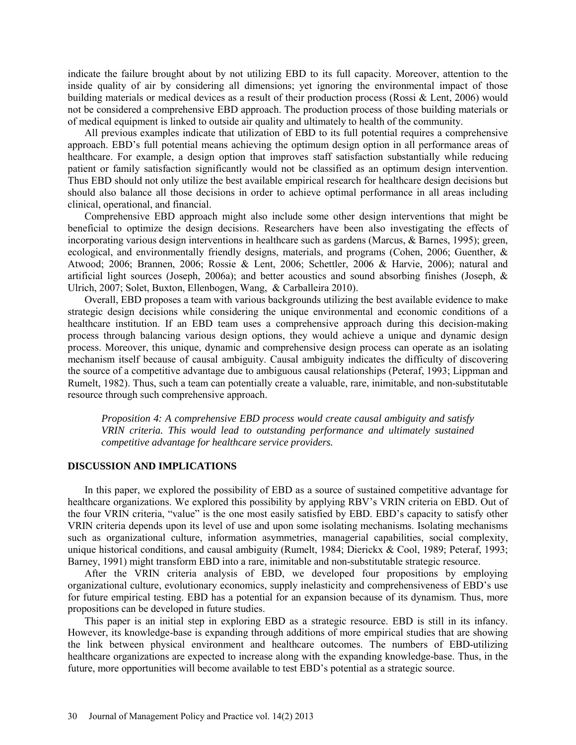indicate the failure brought about by not utilizing EBD to its full capacity. Moreover, attention to the inside quality of air by considering all dimensions; yet ignoring the environmental impact of those building materials or medical devices as a result of their production process (Rossi & Lent, 2006) would not be considered a comprehensive EBD approach. The production process of those building materials or of medical equipment is linked to outside air quality and ultimately to health of the community.

All previous examples indicate that utilization of EBD to its full potential requires a comprehensive approach. EBD's full potential means achieving the optimum design option in all performance areas of healthcare. For example, a design option that improves staff satisfaction substantially while reducing patient or family satisfaction significantly would not be classified as an optimum design intervention. Thus EBD should not only utilize the best available empirical research for healthcare design decisions but should also balance all those decisions in order to achieve optimal performance in all areas including clinical, operational, and financial.

Comprehensive EBD approach might also include some other design interventions that might be beneficial to optimize the design decisions. Researchers have been also investigating the effects of incorporating various design interventions in healthcare such as gardens (Marcus, & Barnes, 1995); green, ecological, and environmentally friendly designs, materials, and programs (Cohen, 2006; Guenther, & Atwood; 2006; Brannen, 2006; Rossie & Lent, 2006; Schettler, 2006 & Harvie, 2006); natural and artificial light sources (Joseph, 2006a); and better acoustics and sound absorbing finishes (Joseph, & Ulrich, 2007; Solet, Buxton, Ellenbogen, Wang, & Carballeira 2010).

Overall, EBD proposes a team with various backgrounds utilizing the best available evidence to make strategic design decisions while considering the unique environmental and economic conditions of a healthcare institution. If an EBD team uses a comprehensive approach during this decision-making process through balancing various design options, they would achieve a unique and dynamic design process. Moreover, this unique, dynamic and comprehensive design process can operate as an isolating mechanism itself because of causal ambiguity. Causal ambiguity indicates the difficulty of discovering the source of a competitive advantage due to ambiguous causal relationships (Peteraf, 1993; Lippman and Rumelt, 1982). Thus, such a team can potentially create a valuable, rare, inimitable, and non-substitutable resource through such comprehensive approach.

*Proposition 4: A comprehensive EBD process would create causal ambiguity and satisfy VRIN criteria. This would lead to outstanding performance and ultimately sustained competitive advantage for healthcare service providers.* 

#### **DISCUSSION AND IMPLICATIONS**

In this paper, we explored the possibility of EBD as a source of sustained competitive advantage for healthcare organizations. We explored this possibility by applying RBV's VRIN criteria on EBD. Out of the four VRIN criteria, "value" is the one most easily satisfied by EBD. EBD's capacity to satisfy other VRIN criteria depends upon its level of use and upon some isolating mechanisms. Isolating mechanisms such as organizational culture, information asymmetries, managerial capabilities, social complexity, unique historical conditions, and causal ambiguity (Rumelt, 1984; Dierickx & Cool, 1989; Peteraf, 1993; Barney, 1991) might transform EBD into a rare, inimitable and non-substitutable strategic resource.

After the VRIN criteria analysis of EBD, we developed four propositions by employing organizational culture, evolutionary economics, supply inelasticity and comprehensiveness of EBD's use for future empirical testing. EBD has a potential for an expansion because of its dynamism. Thus, more propositions can be developed in future studies.

This paper is an initial step in exploring EBD as a strategic resource. EBD is still in its infancy. However, its knowledge-base is expanding through additions of more empirical studies that are showing the link between physical environment and healthcare outcomes. The numbers of EBD-utilizing healthcare organizations are expected to increase along with the expanding knowledge-base. Thus, in the future, more opportunities will become available to test EBD's potential as a strategic source.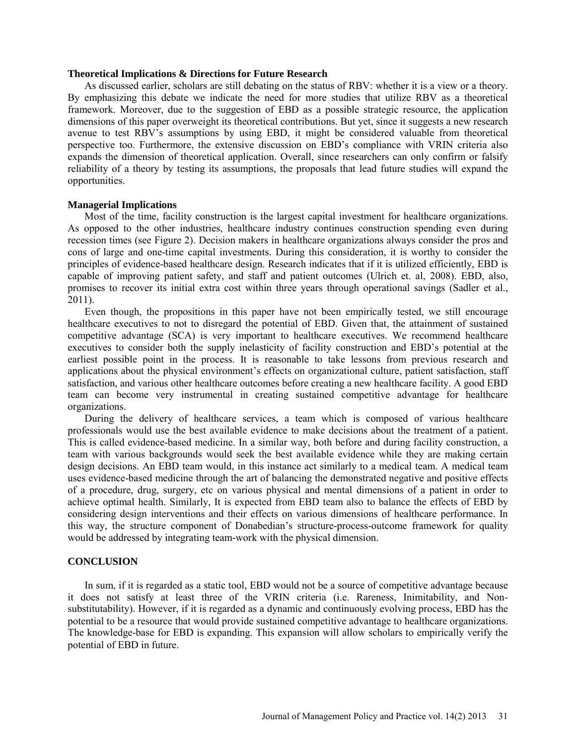## **Theoretical Implications & Directions for Future Research**

As discussed earlier, scholars are still debating on the status of RBV: whether it is a view or a theory. By emphasizing this debate we indicate the need for more studies that utilize RBV as a theoretical framework. Moreover, due to the suggestion of EBD as a possible strategic resource, the application dimensions of this paper overweight its theoretical contributions. But yet, since it suggests a new research avenue to test RBV's assumptions by using EBD, it might be considered valuable from theoretical perspective too. Furthermore, the extensive discussion on EBD's compliance with VRIN criteria also expands the dimension of theoretical application. Overall, since researchers can only confirm or falsify reliability of a theory by testing its assumptions, the proposals that lead future studies will expand the opportunities.

## **Managerial Implications**

Most of the time, facility construction is the largest capital investment for healthcare organizations. As opposed to the other industries, healthcare industry continues construction spending even during recession times (see Figure 2). Decision makers in healthcare organizations always consider the pros and cons of large and one-time capital investments. During this consideration, it is worthy to consider the principles of evidence-based healthcare design. Research indicates that if it is utilized efficiently, EBD is capable of improving patient safety, and staff and patient outcomes (Ulrich et. al, 2008). EBD, also, promises to recover its initial extra cost within three years through operational savings (Sadler et al., 2011).

Even though, the propositions in this paper have not been empirically tested, we still encourage healthcare executives to not to disregard the potential of EBD. Given that, the attainment of sustained competitive advantage (SCA) is very important to healthcare executives. We recommend healthcare executives to consider both the supply inelasticity of facility construction and EBD's potential at the earliest possible point in the process. It is reasonable to take lessons from previous research and applications about the physical environment's effects on organizational culture, patient satisfaction, staff satisfaction, and various other healthcare outcomes before creating a new healthcare facility. A good EBD team can become very instrumental in creating sustained competitive advantage for healthcare organizations.

During the delivery of healthcare services, a team which is composed of various healthcare professionals would use the best available evidence to make decisions about the treatment of a patient. This is called evidence-based medicine. In a similar way, both before and during facility construction, a team with various backgrounds would seek the best available evidence while they are making certain design decisions. An EBD team would, in this instance act similarly to a medical team. A medical team uses evidence-based medicine through the art of balancing the demonstrated negative and positive effects of a procedure, drug, surgery, etc on various physical and mental dimensions of a patient in order to achieve optimal health. Similarly, It is expected from EBD team also to balance the effects of EBD by considering design interventions and their effects on various dimensions of healthcare performance. In this way, the structure component of Donabedian's structure-process-outcome framework for quality would be addressed by integrating team-work with the physical dimension.

#### **CONCLUSION**

In sum, if it is regarded as a static tool, EBD would not be a source of competitive advantage because it does not satisfy at least three of the VRIN criteria (i.e. Rareness, Inimitability, and Nonsubstitutability). However, if it is regarded as a dynamic and continuously evolving process, EBD has the potential to be a resource that would provide sustained competitive advantage to healthcare organizations. The knowledge-base for EBD is expanding. This expansion will allow scholars to empirically verify the potential of EBD in future.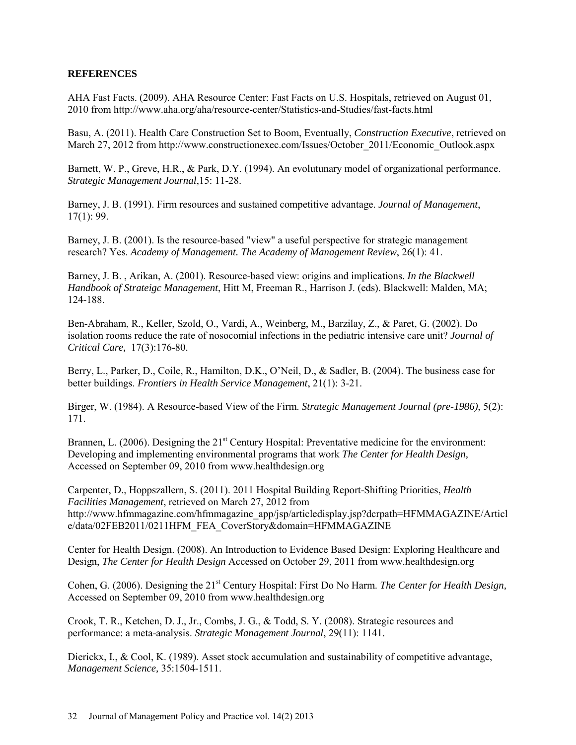## **REFERENCES**

AHA Fast Facts. (2009). AHA Resource Center: Fast Facts on U.S. Hospitals, retrieved on August 01, 2010 from http://www.aha.org/aha/resource-center/Statistics-and-Studies/fast-facts.html

Basu, A. (2011). Health Care Construction Set to Boom, Eventually, *Construction Executive*, retrieved on March 27, 2012 from http://www.constructionexec.com/Issues/October\_2011/Economic\_Outlook.aspx

Barnett, W. P., Greve, H.R., & Park, D.Y. (1994). An evolutunary model of organizational performance. *Strategic Management Journal*,15: 11-28.

Barney, J. B. (1991). Firm resources and sustained competitive advantage. *Journal of Management*, 17(1): 99.

Barney, J. B. (2001). Is the resource-based "view" a useful perspective for strategic management research? Yes. *Academy of Management. The Academy of Management Review*, 26(1): 41.

Barney, J. B. , Arikan, A. (2001). Resource-based view: origins and implications. *In the Blackwell Handbook of Strateigc Management*, Hitt M, Freeman R., Harrison J. (eds). Blackwell: Malden, MA; 124-188.

Ben-Abraham, R., Keller, Szold, O., Vardi, A., Weinberg, M., Barzilay, Z., & Paret, G. (2002). Do isolation rooms reduce the rate of nosocomial infections in the pediatric intensive care unit? *Journal of Critical Care,* 17(3):176-80.

Berry, L., Parker, D., Coile, R., Hamilton, D.K., O'Neil, D., & Sadler, B. (2004). The business case for better buildings. *Frontiers in Health Service Management*, 21(1): 3-21.

Birger, W. (1984). A Resource-based View of the Firm. *Strategic Management Journal (pre-1986)*, 5(2): 171.

Brannen, L. (2006). Designing the 21<sup>st</sup> Century Hospital: Preventative medicine for the environment: Developing and implementing environmental programs that work *The Center for Health Design,* Accessed on September 09, 2010 from www.healthdesign.org

Carpenter, D., Hoppszallern, S. (2011). 2011 Hospital Building Report-Shifting Priorities, *Health Facilities Management*, retrieved on March 27, 2012 from http://www.hfmmagazine.com/hfmmagazine\_app/jsp/articledisplay.jsp?dcrpath=HFMMAGAZINE/Articl e/data/02FEB2011/0211HFM\_FEA\_CoverStory&domain=HFMMAGAZINE

Center for Health Design. (2008). An Introduction to Evidence Based Design: Exploring Healthcare and Design, *The Center for Health Design* Accessed on October 29, 2011 from www.healthdesign.org

Cohen, G. (2006). Designing the 21<sup>st</sup> Century Hospital: First Do No Harm. *The Center for Health Design*, Accessed on September 09, 2010 from www.healthdesign.org

Crook, T. R., Ketchen, D. J., Jr., Combs, J. G., & Todd, S. Y. (2008). Strategic resources and performance: a meta-analysis. *Strategic Management Journal*, 29(11): 1141.

Dierickx, I., & Cool, K. (1989). Asset stock accumulation and sustainability of competitive advantage, *Management Science,* 35:1504-1511.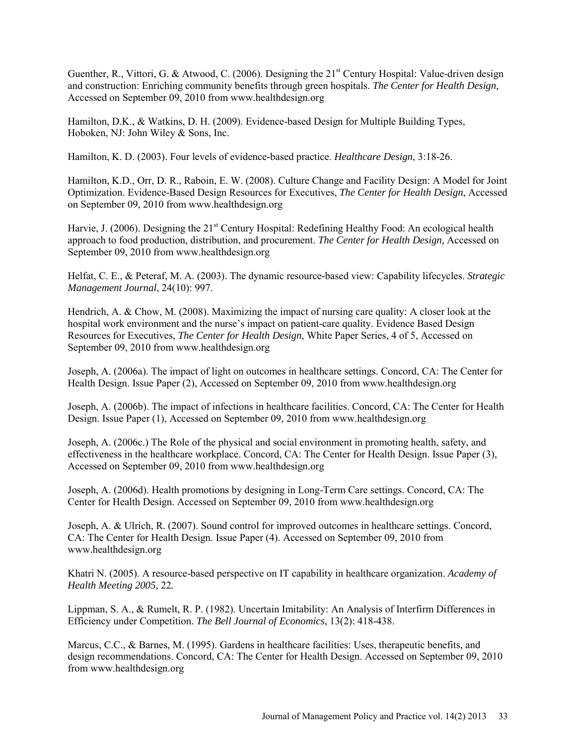Guenther, R., Vittori, G. & Atwood, C. (2006). Designing the  $21<sup>st</sup>$  Century Hospital: Value-driven design and construction: Enriching community benefits through green hospitals. *The Center for Health Design,* Accessed on September 09, 2010 from www.healthdesign.org

Hamilton, D.K., & Watkins, D. H. (2009). Evidence-based Design for Multiple Building Types, Hoboken, NJ: John Wiley & Sons, Inc.

Hamilton, K. D. (2003). Four levels of evidence-based practice. *Healthcare Design*, 3:18-26.

Hamilton, K.D., Orr, D. R., Raboin, E. W. (2008). Culture Change and Facility Design: A Model for Joint Optimization. Evidence-Based Design Resources for Executives, *The Center for Health Design*, Accessed on September 09, 2010 from www.healthdesign.org

Harvie, J. (2006). Designing the 21<sup>st</sup> Century Hospital: Redefining Healthy Food: An ecological health approach to food production, distribution, and procurement. *The Center for Health Design,* Accessed on September 09, 2010 from www.healthdesign.org

Helfat, C. E., & Peteraf, M. A. (2003). The dynamic resource-based view: Capability lifecycles. *Strategic Management Journal*, 24(10): 997.

Hendrich, A. & Chow, M. (2008). Maximizing the impact of nursing care quality: A closer look at the hospital work environment and the nurse's impact on patient-care quality. Evidence Based Design Resources for Executives, *The Center for Health Design*, White Paper Series, 4 of 5, Accessed on September 09, 2010 from www.healthdesign.org

Joseph, A. (2006a). The impact of light on outcomes in healthcare settings. Concord, CA: The Center for Health Design. Issue Paper (2), Accessed on September 09, 2010 from www.healthdesign.org

Joseph, A. (2006b). The impact of infections in healthcare facilities. Concord, CA: The Center for Health Design. Issue Paper (1), Accessed on September 09, 2010 from www.healthdesign.org

Joseph, A. (2006c.) The Role of the physical and social environment in promoting health, safety, and effectiveness in the healthcare workplace. Concord, CA: The Center for Health Design. Issue Paper (3), Accessed on September 09, 2010 from www.healthdesign.org

Joseph, A. (2006d). Health promotions by designing in Long-Term Care settings. Concord, CA: The Center for Health Design. Accessed on September 09, 2010 from www.healthdesign.org

Joseph, A. & Ulrich, R. (2007). Sound control for improved outcomes in healthcare settings. Concord, CA: The Center for Health Design. Issue Paper (4). Accessed on September 09, 2010 from www.healthdesign.org

Khatri N. (2005). A resource-based perspective on IT capability in healthcare organization. *Academy of Health Meeting 2005,* 22*.*

Lippman, S. A., & Rumelt, R. P. (1982). Uncertain Imitability: An Analysis of Interfirm Differences in Efficiency under Competition. *The Bell Journal of Economics*, 13(2): 418-438.

Marcus, C.C., & Barnes, M. (1995). Gardens in healthcare facilities: Uses, therapeutic benefits, and design recommendations. Concord, CA: The Center for Health Design. Accessed on September 09, 2010 from www.healthdesign.org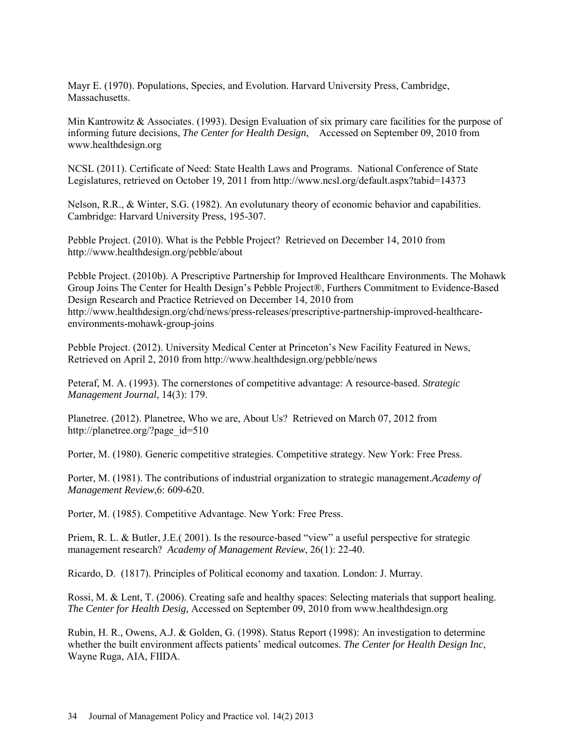Mayr E. (1970). Populations, Species, and Evolution. Harvard University Press, Cambridge, **Massachusetts** 

Min Kantrowitz & Associates. (1993). Design Evaluation of six primary care facilities for the purpose of informing future decisions, *The Center for Health Design*, Accessed on September 09, 2010 from www.healthdesign.org

NCSL (2011). Certificate of Need: State Health Laws and Programs. National Conference of State Legislatures, retrieved on October 19, 2011 from http://www.ncsl.org/default.aspx?tabid=14373

Nelson, R.R., & Winter, S.G. (1982). An evolutunary theory of economic behavior and capabilities. Cambridge: Harvard University Press, 195-307.

Pebble Project. (2010). What is the Pebble Project? Retrieved on December 14, 2010 from http://www.healthdesign.org/pebble/about

Pebble Project. (2010b). A Prescriptive Partnership for Improved Healthcare Environments. The Mohawk Group Joins The Center for Health Design's Pebble Project®, Furthers Commitment to Evidence-Based Design Research and Practice Retrieved on December 14, 2010 from http://www.healthdesign.org/chd/news/press-releases/prescriptive-partnership-improved-healthcareenvironments-mohawk-group-joins

Pebble Project. (2012). University Medical Center at Princeton's New Facility Featured in News, Retrieved on April 2, 2010 from http://www.healthdesign.org/pebble/news

Peteraf, M. A. (1993). The cornerstones of competitive advantage: A resource-based. *Strategic Management Journal*, 14(3): 179.

Planetree. (2012). Planetree, Who we are, About Us? Retrieved on March 07, 2012 from http://planetree.org/?page\_id=510

Porter, M. (1980). Generic competitive strategies. Competitive strategy. New York: Free Press.

Porter, M. (1981). The contributions of industrial organization to strategic management.*Academy of Management Review*,6: 609-620.

Porter, M. (1985). Competitive Advantage. New York: Free Press.

Priem, R. L. & Butler, J.E.( 2001). Is the resource-based "view" a useful perspective for strategic management research? *Academy of Management Review*, 26(1): 22-40.

Ricardo, D. (1817). Principles of Political economy and taxation. London: J. Murray.

Rossi, M. & Lent, T. (2006). Creating safe and healthy spaces: Selecting materials that support healing. *The Center for Health Desig,* Accessed on September 09, 2010 from www.healthdesign.org

Rubin, H. R., Owens, A.J. & Golden, G. (1998). Status Report (1998): An investigation to determine whether the built environment affects patients' medical outcomes. *The Center for Health Design Inc*, Wayne Ruga, AIA, FIIDA.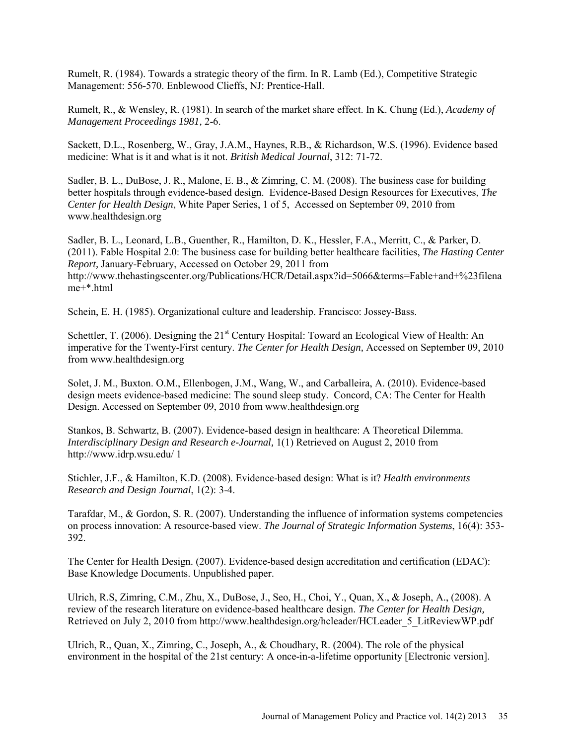Rumelt, R. (1984). Towards a strategic theory of the firm. In R. Lamb (Ed.), Competitive Strategic Management: 556-570. Enblewood Clieffs, NJ: Prentice-Hall.

Rumelt, R., & Wensley, R. (1981). In search of the market share effect. In K. Chung (Ed.), *Academy of Management Proceedings 1981,* 2-6.

Sackett, D.L., Rosenberg, W., Gray, J.A.M., Haynes, R.B., & Richardson, W.S. (1996). Evidence based medicine: What is it and what is it not. *British Medical Journal*, 312: 71-72.

Sadler, B. L., DuBose, J. R., Malone, E. B., & Zimring, C. M. (2008). The business case for building better hospitals through evidence-based design. Evidence-Based Design Resources for Executives, *The Center for Health Design*, White Paper Series, 1 of 5, Accessed on September 09, 2010 from www.healthdesign.org

Sadler, B. L., Leonard, L.B., Guenther, R., Hamilton, D. K., Hessler, F.A., Merritt, C., & Parker, D. (2011). Fable Hospital 2.0: The business case for building better healthcare facilities, *The Hasting Center Report,* January-February, Accessed on October 29, 2011 from http://www.thehastingscenter.org/Publications/HCR/Detail.aspx?id=5066&terms=Fable+and+%23filena me+\*.html

Schein, E. H. (1985). Organizational culture and leadership. Francisco: Jossey-Bass.

Schettler, T. (2006). Designing the  $21<sup>st</sup>$  Century Hospital: Toward an Ecological View of Health: An imperative for the Twenty-First century. *The Center for Health Design,* Accessed on September 09, 2010 from www.healthdesign.org

Solet, J. M., Buxton. O.M., Ellenbogen, J.M., Wang, W., and Carballeira, A. (2010). Evidence-based design meets evidence-based medicine: The sound sleep study. Concord, CA: The Center for Health Design. Accessed on September 09, 2010 from www.healthdesign.org

Stankos, B. Schwartz, B. (2007). Evidence-based design in healthcare: A Theoretical Dilemma. *Interdisciplinary Design and Research e-Journal,* 1(1) Retrieved on August 2, 2010 from http://www.idrp.wsu.edu/ 1

Stichler, J.F., & Hamilton, K.D. (2008). Evidence-based design: What is it? *Health environments Research and Design Journal*, 1(2): 3-4.

Tarafdar, M., & Gordon, S. R. (2007). Understanding the influence of information systems competencies on process innovation: A resource-based view. *The Journal of Strategic Information Systems*, 16(4): 353- 392.

The Center for Health Design. (2007). Evidence-based design accreditation and certification (EDAC): Base Knowledge Documents. Unpublished paper.

Ulrich, R.S, Zimring, C.M., Zhu, X., DuBose, J., Seo, H., Choi, Y., Quan, X., & Joseph, A., (2008). A review of the research literature on evidence-based healthcare design. *The Center for Health Design,*  Retrieved on July 2, 2010 from http://www.healthdesign.org/hcleader/HCLeader 5 LitReviewWP.pdf

Ulrich, R., Quan, X., Zimring, C., Joseph, A., & Choudhary, R. (2004). The role of the physical environment in the hospital of the 21st century: A once-in-a-lifetime opportunity [Electronic version].